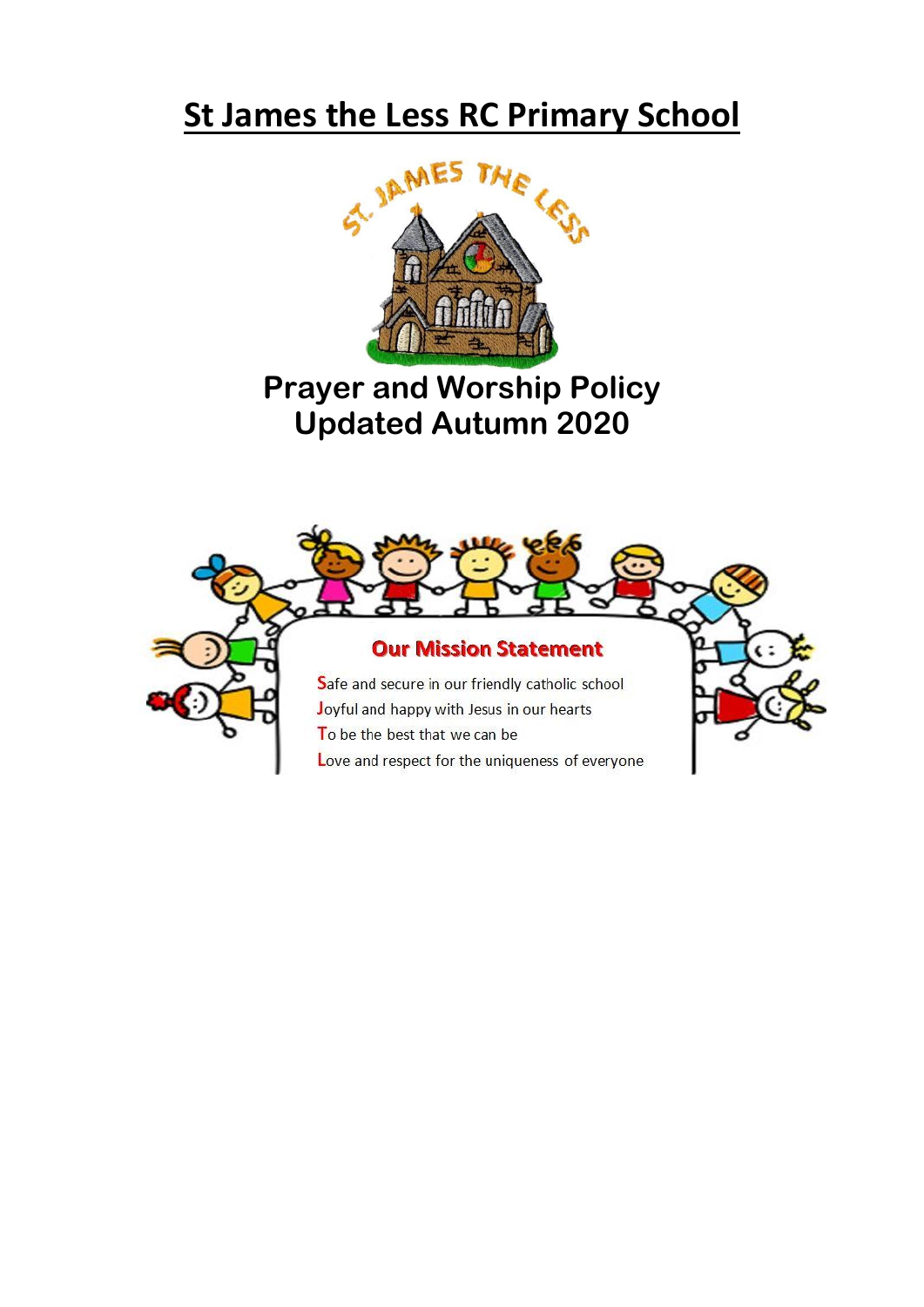

# **Prayer and Worship Policy Updated Autumn 2020**

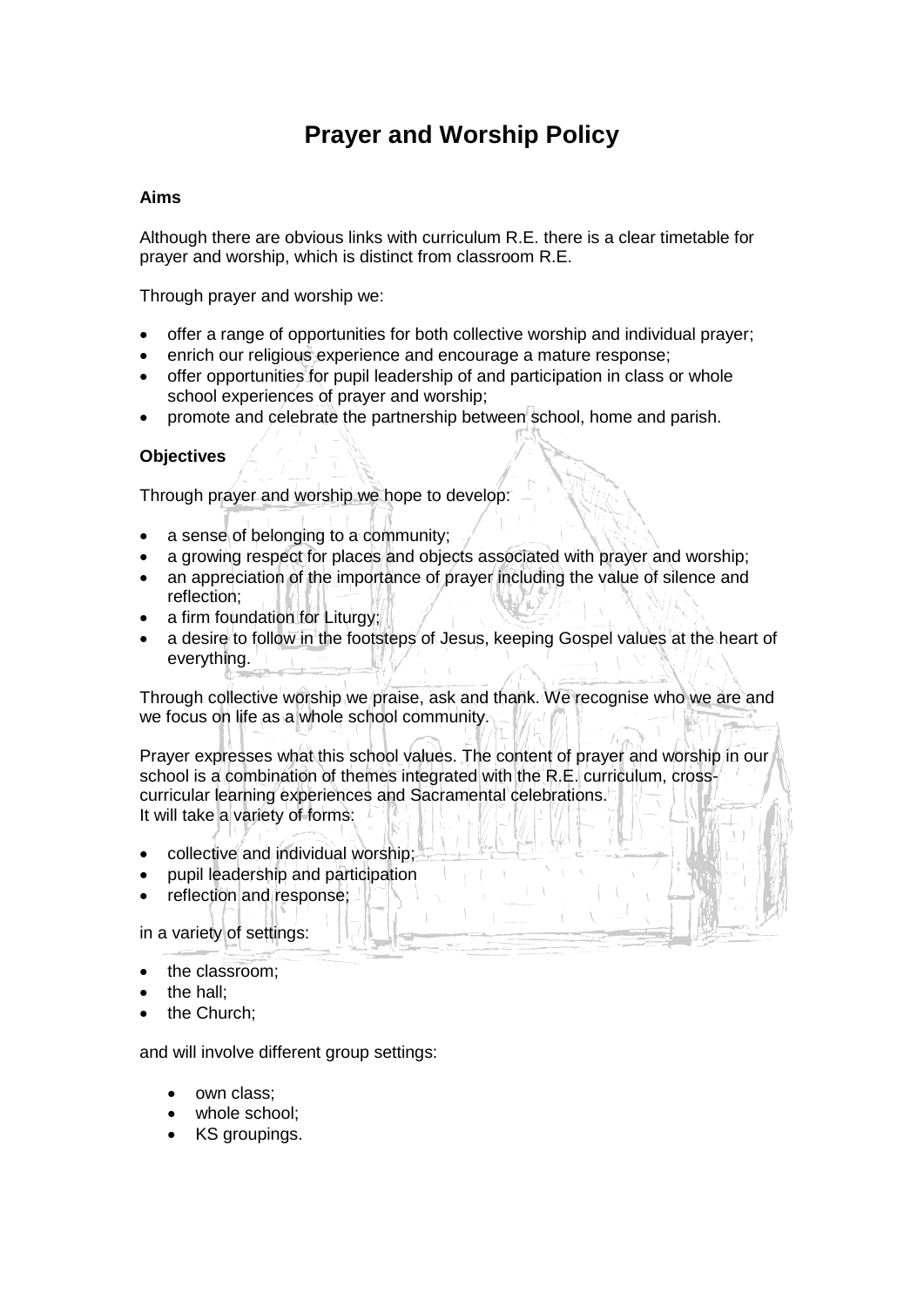## **Prayer and Worship Policy**

### **Aims**

Although there are obvious links with curriculum R.E. there is a clear timetable for prayer and worship, which is distinct from classroom R.E.

Through prayer and worship we:

- offer a range of opportunities for both collective worship and individual prayer;
- enrich our religious experience and encourage a mature response;
- offer opportunities for pupil leadership of and participation in class or whole school experiences of prayer and worship;
- promote and celebrate the partnership between school, home and parish.

## **Objectives**

Through prayer and worship we hope to develop:

- a sense of belonging to a community;
- a growing respect for places and objects associated with prayer and worship:
- an appreciation of the importance of prayer including the value of silence and reflection;
- a firm foundation for Liturgy;
- a desire to follow in the footsteps of Jesus, keeping Gospel values at the heart of everything.

Through collective worship we praise, ask and thank. We recognise who we are and we focus on life as a whole school community.

Prayer expresses what this school values. The content of prayer and worship in our school is a combination of themes integrated with the R.E. curriculum, crosscurricular learning experiences and Sacramental celebrations. It will take a variety of forms:

- collective and individual worship;
- pupil leadership and participation
- reflection and response;

in a variety of settings:

- the classroom;
- the hall;
- the Church;

and will involve different group settings:

- own class;
- whole school:
- KS groupings.